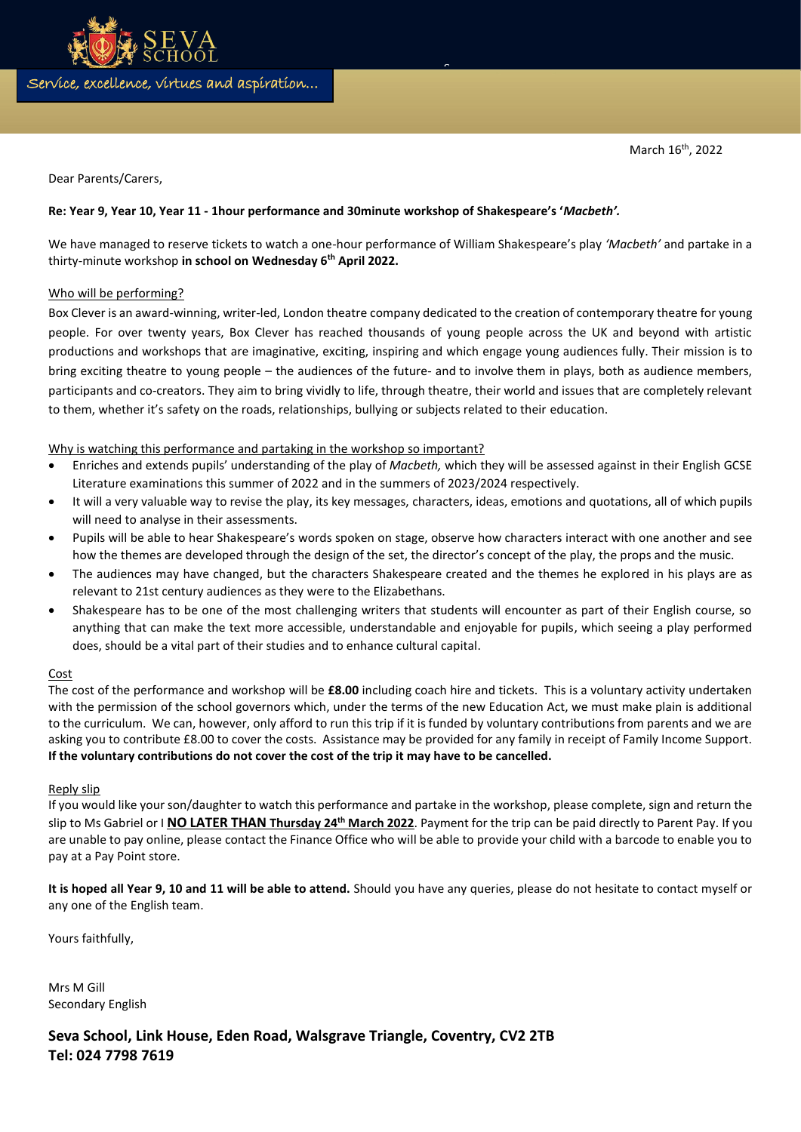Service, excellence, virtues and aspiration…

document or use this space to emphasize a key point. To place

Dear Parents/Carers,

# **Re: Year 9, Year 10, Year 11 - 1hour performance and 30minute workshop of Shakespeare's '***Macbeth'.*

We have managed to reserve tickets to watch a one-hour performance of William Shakespeare's play *'Macbeth'* and partake in a thirty-minute workshop **in school on Wednesday 6th April 2022.** 

 $\tilde{ }$ 

### Who will be performing?

Box Clever is an award-winning, writer-led, London theatre company dedicated to the creation of contemporary theatre for young people. For over twenty years, Box Clever has reached thousands of young people across the UK and beyond with artistic productions and workshops that are imaginative, exciting, inspiring and which engage young audiences fully. Their mission is to bring exciting theatre to young people – the audiences of the future- and to involve them in plays, both as audience members, participants and co-creators. They aim to bring vividly to life, through theatre, their world and issues that are completely relevant to them, whether it's safety on the roads, relationships, bullying or subjects related to their education.

# Why is watching this performance and partaking in the workshop so important?

- Enriches and extends pupils' understanding of the play of *Macbeth,* which they will be assessed against in their English GCSE Literature examinations this summer of 2022 and in the summers of 2023/2024 respectively.
- It will a very valuable way to revise the play, its key messages, characters, ideas, emotions and quotations, all of which pupils will need to analyse in their assessments.
- Pupils will be able to hear Shakespeare's words spoken on stage, observe how characters interact with one another and see how the themes are developed through the design of the set, the director's concept of the play, the props and the music.
- The audiences may have changed, but the characters Shakespeare created and the themes he explored in his plays are as relevant to 21st century audiences as they were to the Elizabethans.
- Shakespeare has to be one of the most challenging writers that students will encounter as part of their English course, so anything that can make the text more accessible, understandable and enjoyable for pupils, which seeing a play performed does, should be a vital part of their studies and to enhance cultural capital.

### Cost

The cost of the performance and workshop will be **£8.00** including coach hire and tickets. This is a voluntary activity undertaken with the permission of the school governors which, under the terms of the new Education Act, we must make plain is additional to the curriculum. We can, however, only afford to run this trip if it is funded by voluntary contributions from parents and we are asking you to contribute £8.00 to cover the costs. Assistance may be provided for any family in receipt of Family Income Support. **If the voluntary contributions do not cover the cost of the trip it may have to be cancelled.** 

### Reply slip

If you would like your son/daughter to watch this performance and partake in the workshop, please complete, sign and return the slip to Ms Gabriel or I **NO LATER THAN Thursday 24th March 2022**. Payment for the trip can be paid directly to Parent Pay. If you are unable to pay online, please contact the Finance Office who will be able to provide your child with a barcode to enable you to pay at a Pay Point store.

**It is hoped all Year 9, 10 and 11 will be able to attend.** Should you have any queries, please do not hesitate to contact myself or any one of the English team.

Yours faithfully,

Mrs M Gill Secondary English

**Seva School, Link House, Eden Road, Walsgrave Triangle, Coventry, CV2 2TB Tel: 024 7798 7619**